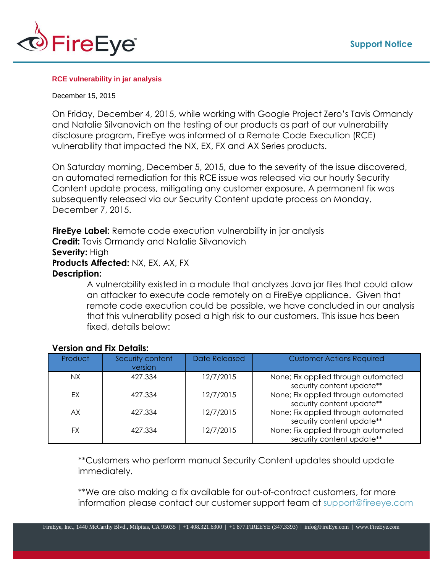

## **RCE vulnerability in jar analysis**

## December 15, 2015

On Friday, December 4, 2015, while working with Google Project Zero's Tavis Ormandy and Natalie Silvanovich on the testing of our products as part of our vulnerability disclosure program, FireEye was informed of a Remote Code Execution (RCE) vulnerability that impacted the NX, EX, FX and AX Series products.

On Saturday morning, December 5, 2015, due to the severity of the issue discovered, an automated remediation for this RCE issue was released via our hourly Security Content update process, mitigating any customer exposure. A permanent fix was subsequently released via our Security Content update process on Monday, December 7, 2015.

**FireEye Label:** Remote code execution vulnerability in jar analysis **Credit:** Tavis Ormandy and Natalie Silvanovich Severity: High **Products Affected:** NX, EX, AX, FX **Description:**

> A vulnerability existed in a module that analyzes Java jar files that could allow an attacker to execute code remotely on a FireEye appliance. Given that remote code execution could be possible, we have concluded in our analysis that this vulnerability posed a high risk to our customers. This issue has been fixed, details below:

| Product | Security content<br>version | Date Released | <b>Customer Actions Required</b>                                 |
|---------|-----------------------------|---------------|------------------------------------------------------------------|
| NX.     | 427.334                     | 12/7/2015     | None; Fix applied through automated<br>security content update** |
| EX      | 427.334                     | 12/7/2015     | None; Fix applied through automated<br>security content update** |
| AX      | 427.334                     | 12/7/2015     | None; Fix applied through automated<br>security content update** |
| FX      | 427.334                     | 12/7/2015     | None; Fix applied through automated<br>security content update** |

## **Version and Fix Details:**

\*\*Customers who perform manual Security Content updates should update immediately.

\*\*We are also making a fix available for out-of-contract customers, for more information please contact our customer support team at [support@fireeye.com](mailto:support@fireeye.com)